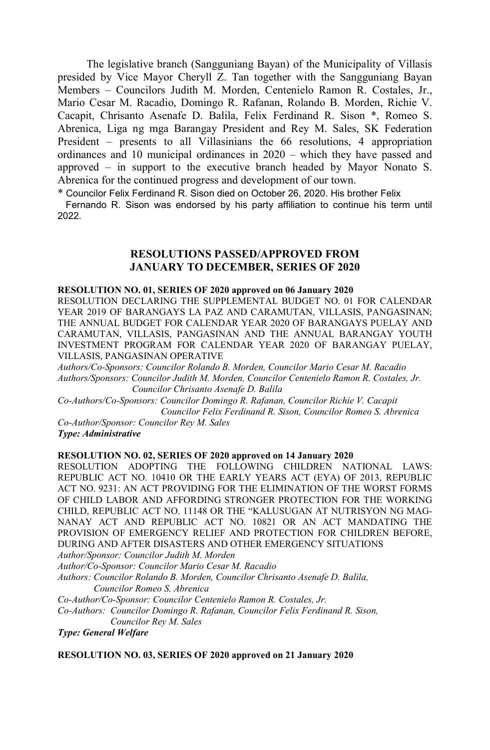The legislative branch (Sangguniang Bayan) of the Municipality of Villasis presided by Vice Mayor Cheryll Z. Tan together with the Sangguniang Bayan Members – Councilors Judith M. Morden, Centenielo Ramon R. Costales, Jr., Mario Cesar M. Racadio, Domingo R. Rafanan, Rolando B. Morden, Richie V. Cacapit, Chrisanto Asenafe D. Balila, Felix Ferdinand R. Sison \*, Romeo S. Abrenica, Liga ng mga Barangay President and Rey M. Sales, SK Federation President – presents to all Villasinians the 66 resolutions, 4 appropriation ordinances and 10 municipal ordinances in 2020 – which they have passed and approved – in support to the executive branch headed by Mayor Nonato S. Abrenica for the continued progress and development of our town.

\* Councilor Felix Ferdinand R. Sison died on October 26, 2020. His brother Felix

 Fernando R. Sison was endorsed by his party affiliation to continue his term until 2022.

# **RESOLUTIONS PASSED/APPROVED FROM JANUARY TO DECEMBER, SERIES OF 2020**

#### **RESOLUTION NO. 01, SERIES OF 2020 approved on 06 January 2020**

RESOLUTION DECLARING THE SUPPLEMENTAL BUDGET NO. 01 FOR CALENDAR YEAR 2019 OF BARANGAYS LA PAZ AND CARAMUTAN, VILLASIS, PANGASINAN; THE ANNUAL BUDGET FOR CALENDAR YEAR 2020 OF BARANGAYS PUELAY AND CARAMUTAN, VILLASIS, PANGASINAN AND THE ANNUAL BARANGAY YOUTH INVESTMENT PROGRAM FOR CALENDAR YEAR 2020 OF BARANGAY PUELAY, VILLASIS, PANGASINAN OPERATIVE

*Authors/Co-Sponsors: Councilor Rolando B. Morden, Councilor Mario Cesar M. Racadio Authors/Sponsors: Councilor Judith M. Morden, Councilor Centenielo Ramon R. Costales, Jr. Councilor Chrisanto Asenafe D. Balila*

*Co-Authors/Co-Sponsors: Councilor Domingo R. Rafanan, Councilor Richie V. Cacapit Councilor Felix Ferdinand R. Sison, Councilor Romeo S. Abrenica*

*Co-Author/Sponsor: Councilor Rey M. Sales Type: Administrative*

## **RESOLUTION NO. 02, SERIES OF 2020 approved on 14 January 2020**

RESOLUTION ADOPTING THE FOLLOWING CHILDREN NATIONAL LAWS: REPUBLIC ACT NO. 10410 OR THE EARLY YEARS ACT (EYA) OF 2013, REPUBLIC ACT NO. 9231: AN ACT PROVIDING FOR THE ELIMINATION OF THE WORST FORMS OF CHILD LABOR AND AFFORDING STRONGER PROTECTION FOR THE WORKING CHILD, REPUBLIC ACT NO. 11148 OR THE "KALUSUGAN AT NUTRISYON NG MAG-NANAY ACT AND REPUBLIC ACT NO. 10821 OR AN ACT MANDATING THE PROVISION OF EMERGENCY RELIEF AND PROTECTION FOR CHILDREN BEFORE, DURING AND AFTER DISASTERS AND OTHER EMERGENCY SITUATIONS

*Author/Sponsor: Councilor Judith M. Morden*

*Author/Co-Sponsor: Councilor Mario Cesar M. Racadio*

*Authors: Councilor Rolando B. Morden, Councilor Chrisanto Asenafe D. Balila, Councilor Romeo S. Abrenica*

*Co-Author/Co-Sponsor: Councilor Centenielo Ramon R. Costales, Jr.*

*Co-Authors: Councilor Domingo R. Rafanan, Councilor Felix Ferdinand R. Sison, Councilor Rey M. Sales*

*Type: General Welfare*

**RESOLUTION NO. 03, SERIES OF 2020 approved on 21 January 2020**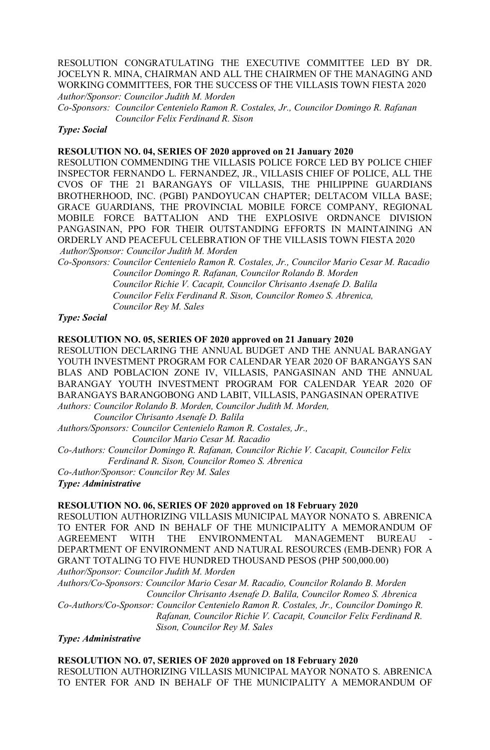RESOLUTION CONGRATULATING THE EXECUTIVE COMMITTEE LED BY DR. JOCELYN R. MINA, CHAIRMAN AND ALL THE CHAIRMEN OF THE MANAGING AND WORKING COMMITTEES, FOR THE SUCCESS OF THE VILLASIS TOWN FIESTA 2020 *Author/Sponsor: Councilor Judith M. Morden*

*Co-Sponsors: Councilor Centenielo Ramon R. Costales, Jr., Councilor Domingo R. Rafanan Councilor Felix Ferdinand R. Sison*

*Type: Social*

#### **RESOLUTION NO. 04, SERIES OF 2020 approved on 21 January 2020**

RESOLUTION COMMENDING THE VILLASIS POLICE FORCE LED BY POLICE CHIEF INSPECTOR FERNANDO L. FERNANDEZ, JR., VILLASIS CHIEF OF POLICE, ALL THE CVOS OF THE 21 BARANGAYS OF VILLASIS, THE PHILIPPINE GUARDIANS BROTHERHOOD, INC. (PGBI) PANDOYUCAN CHAPTER; DELTACOM VILLA BASE; GRACE GUARDIANS, THE PROVINCIAL MOBILE FORCE COMPANY, REGIONAL MOBILE FORCE BATTALION AND THE EXPLOSIVE ORDNANCE DIVISION PANGASINAN, PPO FOR THEIR OUTSTANDING EFFORTS IN MAINTAINING AN ORDERLY AND PEACEFUL CELEBRATION OF THE VILLASIS TOWN FIESTA 2020 *Author/Sponsor: Councilor Judith M. Morden*

*Co-Sponsors: Councilor Centenielo Ramon R. Costales, Jr., Councilor Mario Cesar M. Racadio Councilor Domingo R. Rafanan, Councilor Rolando B. Morden Councilor Richie V. Cacapit, Councilor Chrisanto Asenafe D. Balila Councilor Felix Ferdinand R. Sison, Councilor Romeo S. Abrenica, Councilor Rey M. Sales*

*Type: Social*

#### **RESOLUTION NO. 05, SERIES OF 2020 approved on 21 January 2020**

RESOLUTION DECLARING THE ANNUAL BUDGET AND THE ANNUAL BARANGAY YOUTH INVESTMENT PROGRAM FOR CALENDAR YEAR 2020 OF BARANGAYS SAN BLAS AND POBLACION ZONE IV, VILLASIS, PANGASINAN AND THE ANNUAL BARANGAY YOUTH INVESTMENT PROGRAM FOR CALENDAR YEAR 2020 OF BARANGAYS BARANGOBONG AND LABIT, VILLASIS, PANGASINAN OPERATIVE

*Authors: Councilor Rolando B. Morden, Councilor Judith M. Morden, Councilor Chrisanto Asenafe D. Balila* 

*Authors/Sponsors: Councilor Centenielo Ramon R. Costales, Jr.,* 

 *Councilor Mario Cesar M. Racadio*

*Co-Authors: Councilor Domingo R. Rafanan, Councilor Richie V. Cacapit, Councilor Felix Ferdinand R. Sison, Councilor Romeo S. Abrenica*

*Co-Author/Sponsor: Councilor Rey M. Sales Type: Administrative*

#### **RESOLUTION NO. 06, SERIES OF 2020 approved on 18 February 2020**

RESOLUTION AUTHORIZING VILLASIS MUNICIPAL MAYOR NONATO S. ABRENICA TO ENTER FOR AND IN BEHALF OF THE MUNICIPALITY A MEMORANDUM OF AGREEMENT WITH THE ENVIRONMENTAL MANAGEMENT BUREAU DEPARTMENT OF ENVIRONMENT AND NATURAL RESOURCES (EMB-DENR) FOR A GRANT TOTALING TO FIVE HUNDRED THOUSAND PESOS (PHP 500,000.00) *Author/Sponsor: Councilor Judith M. Morden* 

*Authors/Co-Sponsors: Councilor Mario Cesar M. Racadio, Councilor Rolando B. Morden Councilor Chrisanto Asenafe D. Balila, Councilor Romeo S. Abrenica*

*Co-Authors/Co-Sponsor: Councilor Centenielo Ramon R. Costales, Jr., Councilor Domingo R. Rafanan, Councilor Richie V. Cacapit, Councilor Felix Ferdinand R.* 

 *Sison, Councilor Rey M. Sales*

*Type: Administrative*

**RESOLUTION NO. 07, SERIES OF 2020 approved on 18 February 2020** RESOLUTION AUTHORIZING VILLASIS MUNICIPAL MAYOR NONATO S. ABRENICA TO ENTER FOR AND IN BEHALF OF THE MUNICIPALITY A MEMORANDUM OF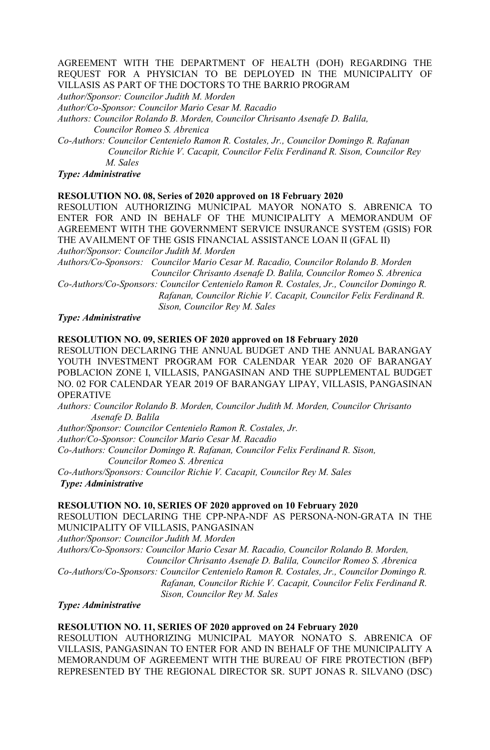## AGREEMENT WITH THE DEPARTMENT OF HEALTH (DOH) REGARDING THE REQUEST FOR A PHYSICIAN TO BE DEPLOYED IN THE MUNICIPALITY OF VILLASIS AS PART OF THE DOCTORS TO THE BARRIO PROGRAM

*Author/Sponsor: Councilor Judith M. Morden* 

*Author/Co-Sponsor: Councilor Mario Cesar M. Racadio* 

*Authors: Councilor Rolando B. Morden, Councilor Chrisanto Asenafe D. Balila, Councilor Romeo S. Abrenica*

*Co-Authors: Councilor Centenielo Ramon R. Costales, Jr., Councilor Domingo R. Rafanan Councilor Richie V. Cacapit, Councilor Felix Ferdinand R. Sison, Councilor Rey M. Sales*

# *Type: Administrative*

## **RESOLUTION NO. 08, Series of 2020 approved on 18 February 2020**

RESOLUTION AUTHORIZING MUNICIPAL MAYOR NONATO S. ABRENICA TO ENTER FOR AND IN BEHALF OF THE MUNICIPALITY A MEMORANDUM OF AGREEMENT WITH THE GOVERNMENT SERVICE INSURANCE SYSTEM (GSIS) FOR THE AVAILMENT OF THE GSIS FINANCIAL ASSISTANCE LOAN II (GFAL II) *Author/Sponsor: Councilor Judith M. Morden*

*Authors/Co-Sponsors: Councilor Mario Cesar M. Racadio, Councilor Rolando B. Morden Councilor Chrisanto Asenafe D. Balila, Councilor Romeo S. Abrenica Co-Authors/Co-Sponsors: Councilor Centenielo Ramon R. Costales, Jr., Councilor Domingo R. Rafanan, Councilor Richie V. Cacapit, Councilor Felix Ferdinand R.* 

 *Sison, Councilor Rey M. Sales*

## *Type: Administrative*

#### **RESOLUTION NO. 09, SERIES OF 2020 approved on 18 February 2020**

RESOLUTION DECLARING THE ANNUAL BUDGET AND THE ANNUAL BARANGAY YOUTH INVESTMENT PROGRAM FOR CALENDAR YEAR 2020 OF BARANGAY POBLACION ZONE I, VILLASIS, PANGASINAN AND THE SUPPLEMENTAL BUDGET NO. 02 FOR CALENDAR YEAR 2019 OF BARANGAY LIPAY, VILLASIS, PANGASINAN OPERATIVE

*Authors: Councilor Rolando B. Morden, Councilor Judith M. Morden, Councilor Chrisanto Asenafe D. Balila* 

*Author/Sponsor: Councilor Centenielo Ramon R. Costales, Jr.*

*Author/Co-Sponsor: Councilor Mario Cesar M. Racadio*

*Co-Authors: Councilor Domingo R. Rafanan, Councilor Felix Ferdinand R. Sison,*

 *Councilor Romeo S. Abrenica*

*Co-Authors/Sponsors: Councilor Richie V. Cacapit, Councilor Rey M. Sales Type: Administrative*

#### **RESOLUTION NO. 10, SERIES OF 2020 approved on 10 February 2020**

RESOLUTION DECLARING THE CPP-NPA-NDF AS PERSONA-NON-GRATA IN THE MUNICIPALITY OF VILLASIS, PANGASINAN

*Author/Sponsor: Councilor Judith M. Morden*

*Authors/Co-Sponsors: Councilor Mario Cesar M. Racadio, Councilor Rolando B. Morden, Councilor Chrisanto Asenafe D. Balila, Councilor Romeo S. Abrenica*

*Co-Authors/Co-Sponsors: Councilor Centenielo Ramon R. Costales, Jr., Councilor Domingo R. Rafanan, Councilor Richie V. Cacapit, Councilor Felix Ferdinand R.* 

 *Sison, Councilor Rey M. Sales*

#### *Type: Administrative*

## **RESOLUTION NO. 11, SERIES OF 2020 approved on 24 February 2020**

RESOLUTION AUTHORIZING MUNICIPAL MAYOR NONATO S. ABRENICA OF VILLASIS, PANGASINAN TO ENTER FOR AND IN BEHALF OF THE MUNICIPALITY A MEMORANDUM OF AGREEMENT WITH THE BUREAU OF FIRE PROTECTION (BFP) REPRESENTED BY THE REGIONAL DIRECTOR SR. SUPT JONAS R. SILVANO (DSC)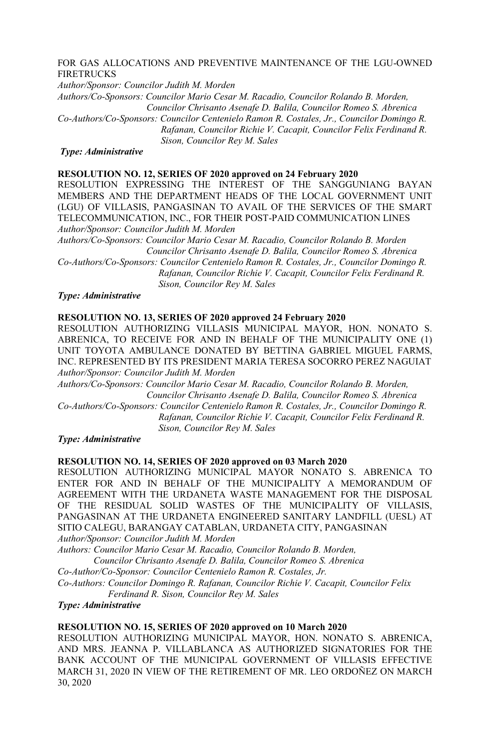## FOR GAS ALLOCATIONS AND PREVENTIVE MAINTENANCE OF THE LGU-OWNED FIRETRUCKS

*Author/Sponsor: Councilor Judith M. Morden*

*Authors/Co-Sponsors: Councilor Mario Cesar M. Racadio, Councilor Rolando B. Morden, Councilor Chrisanto Asenafe D. Balila, Councilor Romeo S. Abrenica*

*Co-Authors/Co-Sponsors: Councilor Centenielo Ramon R. Costales, Jr., Councilor Domingo R. Rafanan, Councilor Richie V. Cacapit, Councilor Felix Ferdinand R.* 

 *Sison, Councilor Rey M. Sales*

#### *Type: Administrative*

## **RESOLUTION NO. 12, SERIES OF 2020 approved on 24 February 2020**

RESOLUTION EXPRESSING THE INTEREST OF THE SANGGUNIANG BAYAN MEMBERS AND THE DEPARTMENT HEADS OF THE LOCAL GOVERNMENT UNIT (LGU) OF VILLASIS, PANGASINAN TO AVAIL OF THE SERVICES OF THE SMART TELECOMMUNICATION, INC., FOR THEIR POST-PAID COMMUNICATION LINES *Author/Sponsor: Councilor Judith M. Morden*

*Authors/Co-Sponsors: Councilor Mario Cesar M. Racadio, Councilor Rolando B. Morden Councilor Chrisanto Asenafe D. Balila, Councilor Romeo S. Abrenica*

*Co-Authors/Co-Sponsors: Councilor Centenielo Ramon R. Costales, Jr., Councilor Domingo R. Rafanan, Councilor Richie V. Cacapit, Councilor Felix Ferdinand R. Sison, Councilor Rey M. Sales*

## *Type: Administrative*

#### **RESOLUTION NO. 13, SERIES OF 2020 approved 24 February 2020**

RESOLUTION AUTHORIZING VILLASIS MUNICIPAL MAYOR, HON. NONATO S. ABRENICA, TO RECEIVE FOR AND IN BEHALF OF THE MUNICIPALITY ONE (1) UNIT TOYOTA AMBULANCE DONATED BY BETTINA GABRIEL MIGUEL FARMS, INC. REPRESENTED BY ITS PRESIDENT MARIA TERESA SOCORRO PEREZ NAGUIAT *Author/Sponsor: Councilor Judith M. Morden*

*Authors/Co-Sponsors: Councilor Mario Cesar M. Racadio, Councilor Rolando B. Morden, Councilor Chrisanto Asenafe D. Balila, Councilor Romeo S. Abrenica*

*Co-Authors/Co-Sponsors: Councilor Centenielo Ramon R. Costales, Jr., Councilor Domingo R. Rafanan, Councilor Richie V. Cacapit, Councilor Felix Ferdinand R. Sison, Councilor Rey M. Sales*

## *Type: Administrative*

#### **RESOLUTION NO. 14, SERIES OF 2020 approved on 03 March 2020**

RESOLUTION AUTHORIZING MUNICIPAL MAYOR NONATO S. ABRENICA TO ENTER FOR AND IN BEHALF OF THE MUNICIPALITY A MEMORANDUM OF AGREEMENT WITH THE URDANETA WASTE MANAGEMENT FOR THE DISPOSAL OF THE RESIDUAL SOLID WASTES OF THE MUNICIPALITY OF VILLASIS, PANGASINAN AT THE URDANETA ENGINEERED SANITARY LANDFILL (UESL) AT SITIO CALEGU, BARANGAY CATABLAN, URDANETA CITY, PANGASINAN *Author/Sponsor: Councilor Judith M. Morden*

*Authors: Councilor Mario Cesar M. Racadio, Councilor Rolando B. Morden, Councilor Chrisanto Asenafe D. Balila, Councilor Romeo S. Abrenica*

*Co-Author/Co-Sponsor: Councilor Centenielo Ramon R. Costales, Jr. Co-Authors: Councilor Domingo R. Rafanan, Councilor Richie V. Cacapit, Councilor Felix Ferdinand R. Sison, Councilor Rey M. Sales*

*Type: Administrative*

#### **RESOLUTION NO. 15, SERIES OF 2020 approved on 10 March 2020**

RESOLUTION AUTHORIZING MUNICIPAL MAYOR, HON. NONATO S. ABRENICA, AND MRS. JEANNA P. VILLABLANCA AS AUTHORIZED SIGNATORIES FOR THE BANK ACCOUNT OF THE MUNICIPAL GOVERNMENT OF VILLASIS EFFECTIVE MARCH 31, 2020 IN VIEW OF THE RETIREMENT OF MR. LEO ORDOÑEZ ON MARCH 30, 2020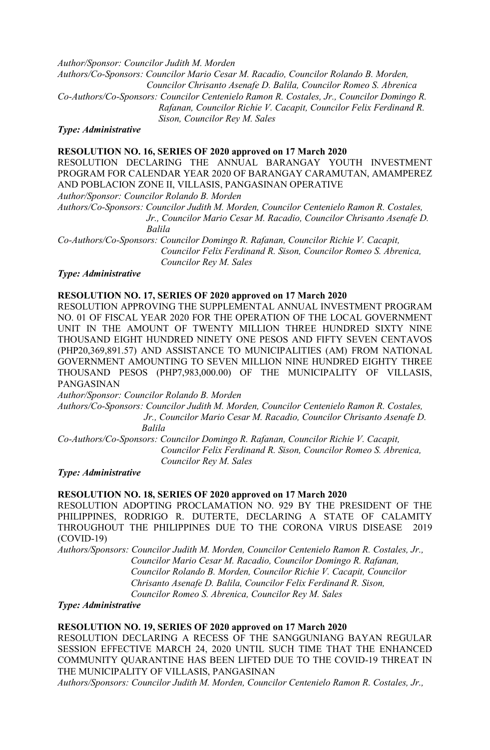*Author/Sponsor: Councilor Judith M. Morden Authors/Co-Sponsors: Councilor Mario Cesar M. Racadio, Councilor Rolando B. Morden, Councilor Chrisanto Asenafe D. Balila, Councilor Romeo S. Abrenica Co-Authors/Co-Sponsors: Councilor Centenielo Ramon R. Costales, Jr., Councilor Domingo R. Rafanan, Councilor Richie V. Cacapit, Councilor Felix Ferdinand R. Sison, Councilor Rey M. Sales*

*Type: Administrative*

#### **RESOLUTION NO. 16, SERIES OF 2020 approved on 17 March 2020**

RESOLUTION DECLARING THE ANNUAL BARANGAY YOUTH INVESTMENT PROGRAM FOR CALENDAR YEAR 2020 OF BARANGAY CARAMUTAN, AMAMPEREZ AND POBLACION ZONE II, VILLASIS, PANGASINAN OPERATIVE

*Author/Sponsor: Councilor Rolando B. Morden*

*Authors/Co-Sponsors: Councilor Judith M. Morden, Councilor Centenielo Ramon R. Costales, Jr., Councilor Mario Cesar M. Racadio, Councilor Chrisanto Asenafe D. Balila*

*Co-Authors/Co-Sponsors: Councilor Domingo R. Rafanan, Councilor Richie V. Cacapit, Councilor Felix Ferdinand R. Sison, Councilor Romeo S. Abrenica, Councilor Rey M. Sales*

#### *Type: Administrative*

#### **RESOLUTION NO. 17, SERIES OF 2020 approved on 17 March 2020**

RESOLUTION APPROVING THE SUPPLEMENTAL ANNUAL INVESTMENT PROGRAM NO. 01 OF FISCAL YEAR 2020 FOR THE OPERATION OF THE LOCAL GOVERNMENT UNIT IN THE AMOUNT OF TWENTY MILLION THREE HUNDRED SIXTY NINE THOUSAND EIGHT HUNDRED NINETY ONE PESOS AND FIFTY SEVEN CENTAVOS (PHP20,369,891.57) AND ASSISTANCE TO MUNICIPALITIES (AM) FROM NATIONAL GOVERNMENT AMOUNTING TO SEVEN MILLION NINE HUNDRED EIGHTY THREE THOUSAND PESOS (PHP7,983,000.00) OF THE MUNICIPALITY OF VILLASIS, PANGASINAN

*Author/Sponsor: Councilor Rolando B. Morden*

*Authors/Co-Sponsors: Councilor Judith M. Morden, Councilor Centenielo Ramon R. Costales, Jr., Councilor Mario Cesar M. Racadio, Councilor Chrisanto Asenafe D. Balila*

*Co-Authors/Co-Sponsors: Councilor Domingo R. Rafanan, Councilor Richie V. Cacapit, Councilor Felix Ferdinand R. Sison, Councilor Romeo S. Abrenica, Councilor Rey M. Sales*

*Type: Administrative*

#### **RESOLUTION NO. 18, SERIES OF 2020 approved on 17 March 2020**

RESOLUTION ADOPTING PROCLAMATION NO. 929 BY THE PRESIDENT OF THE PHILIPPINES, RODRIGO R. DUTERTE, DECLARING A STATE OF CALAMITY THROUGHOUT THE PHILIPPINES DUE TO THE CORONA VIRUS DISEASE 2019 (COVID-19)

*Authors/Sponsors: Councilor Judith M. Morden, Councilor Centenielo Ramon R. Costales, Jr., Councilor Mario Cesar M. Racadio, Councilor Domingo R. Rafanan, Councilor Rolando B. Morden, Councilor Richie V. Cacapit, Councilor Chrisanto Asenafe D. Balila, Councilor Felix Ferdinand R. Sison, Councilor Romeo S. Abrenica, Councilor Rey M. Sales*

*Type: Administrative*

## **RESOLUTION NO. 19, SERIES OF 2020 approved on 17 March 2020**

RESOLUTION DECLARING A RECESS OF THE SANGGUNIANG BAYAN REGULAR SESSION EFFECTIVE MARCH 24, 2020 UNTIL SUCH TIME THAT THE ENHANCED COMMUNITY QUARANTINE HAS BEEN LIFTED DUE TO THE COVID-19 THREAT IN THE MUNICIPALITY OF VILLASIS, PANGASINAN

*Authors/Sponsors: Councilor Judith M. Morden, Councilor Centenielo Ramon R. Costales, Jr.,*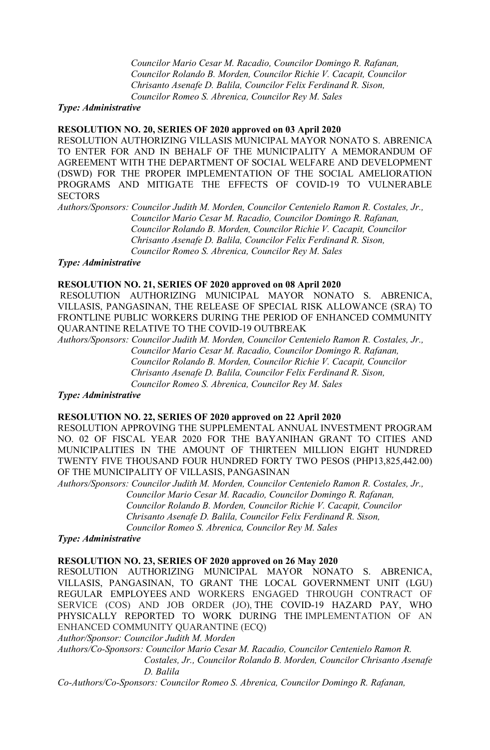*Councilor Mario Cesar M. Racadio, Councilor Domingo R. Rafanan, Councilor Rolando B. Morden, Councilor Richie V. Cacapit, Councilor Chrisanto Asenafe D. Balila, Councilor Felix Ferdinand R. Sison, Councilor Romeo S. Abrenica, Councilor Rey M. Sales*

#### *Type: Administrative*

## **RESOLUTION NO. 20, SERIES OF 2020 approved on 03 April 2020**

RESOLUTION AUTHORIZING VILLASIS MUNICIPAL MAYOR NONATO S. ABRENICA TO ENTER FOR AND IN BEHALF OF THE MUNICIPALITY A MEMORANDUM OF AGREEMENT WITH THE DEPARTMENT OF SOCIAL WELFARE AND DEVELOPMENT (DSWD) FOR THE PROPER IMPLEMENTATION OF THE SOCIAL AMELIORATION PROGRAMS AND MITIGATE THE EFFECTS OF COVID-19 TO VULNERABLE **SECTORS** 

*Authors/Sponsors: Councilor Judith M. Morden, Councilor Centenielo Ramon R. Costales, Jr., Councilor Mario Cesar M. Racadio, Councilor Domingo R. Rafanan, Councilor Rolando B. Morden, Councilor Richie V. Cacapit, Councilor Chrisanto Asenafe D. Balila, Councilor Felix Ferdinand R. Sison, Councilor Romeo S. Abrenica, Councilor Rey M. Sales*

*Type: Administrative*

## **RESOLUTION NO. 21, SERIES OF 2020 approved on 08 April 2020**

RESOLUTION AUTHORIZING MUNICIPAL MAYOR NONATO S. ABRENICA, VILLASIS, PANGASINAN, THE RELEASE OF SPECIAL RISK ALLOWANCE (SRA) TO FRONTLINE PUBLIC WORKERS DURING THE PERIOD OF ENHANCED COMMUNITY QUARANTINE RELATIVE TO THE COVID-19 OUTBREAK

*Authors/Sponsors: Councilor Judith M. Morden, Councilor Centenielo Ramon R. Costales, Jr., Councilor Mario Cesar M. Racadio, Councilor Domingo R. Rafanan, Councilor Rolando B. Morden, Councilor Richie V. Cacapit, Councilor Chrisanto Asenafe D. Balila, Councilor Felix Ferdinand R. Sison, Councilor Romeo S. Abrenica, Councilor Rey M. Sales*

*Type: Administrative*

#### **RESOLUTION NO. 22, SERIES OF 2020 approved on 22 April 2020**

RESOLUTION APPROVING THE SUPPLEMENTAL ANNUAL INVESTMENT PROGRAM NO. 02 OF FISCAL YEAR 2020 FOR THE BAYANIHAN GRANT TO CITIES AND MUNICIPALITIES IN THE AMOUNT OF THIRTEEN MILLION EIGHT HUNDRED TWENTY FIVE THOUSAND FOUR HUNDRED FORTY TWO PESOS (PHP13,825,442.00) OF THE MUNICIPALITY OF VILLASIS, PANGASINAN

*Authors/Sponsors: Councilor Judith M. Morden, Councilor Centenielo Ramon R. Costales, Jr., Councilor Mario Cesar M. Racadio, Councilor Domingo R. Rafanan, Councilor Rolando B. Morden, Councilor Richie V. Cacapit, Councilor Chrisanto Asenafe D. Balila, Councilor Felix Ferdinand R. Sison, Councilor Romeo S. Abrenica, Councilor Rey M. Sales*

*Type: Administrative*

## **RESOLUTION NO. 23, SERIES OF 2020 approved on 26 May 2020**

RESOLUTION AUTHORIZING MUNICIPAL MAYOR NONATO S. ABRENICA, VILLASIS, PANGASINAN, TO GRANT THE LOCAL GOVERNMENT UNIT (LGU) REGULAR EMPLOYEES AND WORKERS ENGAGED THROUGH CONTRACT OF SERVICE (COS) AND JOB ORDER (JO), THE COVID-19 HAZARD PAY, WHO PHYSICALLY REPORTED TO WORK DURING THE IMPLEMENTATION OF AN ENHANCED COMMUNITY QUARANTINE (ECQ)

*Author/Sponsor: Councilor Judith M. Morden*

*Authors/Co-Sponsors: Councilor Mario Cesar M. Racadio, Councilor Centenielo Ramon R. Costales, Jr., Councilor Rolando B. Morden, Councilor Chrisanto Asenafe D. Balila*

*Co-Authors/Co-Sponsors: Councilor Romeo S. Abrenica, Councilor Domingo R. Rafanan,*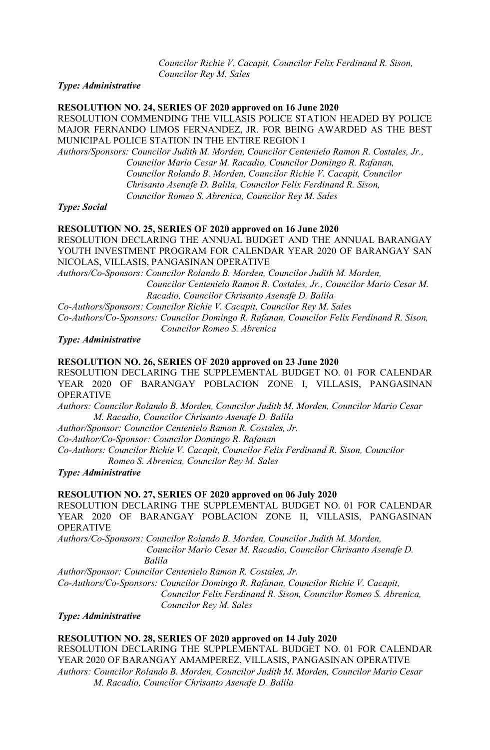*Councilor Richie V. Cacapit, Councilor Felix Ferdinand R. Sison, Councilor Rey M. Sales*

*Type: Administrative*

#### **RESOLUTION NO. 24, SERIES OF 2020 approved on 16 June 2020**

RESOLUTION COMMENDING THE VILLASIS POLICE STATION HEADED BY POLICE MAJOR FERNANDO LIMOS FERNANDEZ, JR. FOR BEING AWARDED AS THE BEST MUNICIPAL POLICE STATION IN THE ENTIRE REGION I

*Authors/Sponsors: Councilor Judith M. Morden, Councilor Centenielo Ramon R. Costales, Jr., Councilor Mario Cesar M. Racadio, Councilor Domingo R. Rafanan, Councilor Rolando B. Morden, Councilor Richie V. Cacapit, Councilor Chrisanto Asenafe D. Balila, Councilor Felix Ferdinand R. Sison, Councilor Romeo S. Abrenica, Councilor Rey M. Sales*

*Type: Social*

#### **RESOLUTION NO. 25, SERIES OF 2020 approved on 16 June 2020**

RESOLUTION DECLARING THE ANNUAL BUDGET AND THE ANNUAL BARANGAY YOUTH INVESTMENT PROGRAM FOR CALENDAR YEAR 2020 OF BARANGAY SAN NICOLAS, VILLASIS, PANGASINAN OPERATIVE

*Authors/Co-Sponsors: Councilor Rolando B. Morden, Councilor Judith M. Morden, Councilor Centenielo Ramon R. Costales, Jr., Councilor Mario Cesar M. Racadio, Councilor Chrisanto Asenafe D. Balila*

*Co-Authors/Sponsors: Councilor Richie V. Cacapit, Councilor Rey M. Sales Co-Authors/Co-Sponsors: Councilor Domingo R. Rafanan, Councilor Felix Ferdinand R. Sison,*

 *Councilor Romeo S. Abrenica*

*Type: Administrative*

#### **RESOLUTION NO. 26, SERIES OF 2020 approved on 23 June 2020**

RESOLUTION DECLARING THE SUPPLEMENTAL BUDGET NO. 01 FOR CALENDAR YEAR 2020 OF BARANGAY POBLACION ZONE I, VILLASIS, PANGASINAN OPERATIVE

*Authors: Councilor Rolando B. Morden, Councilor Judith M. Morden, Councilor Mario Cesar M. Racadio, Councilor Chrisanto Asenafe D. Balila*

*Author/Sponsor: Councilor Centenielo Ramon R. Costales, Jr.*

*Co-Author/Co-Sponsor: Councilor Domingo R. Rafanan*

*Co-Authors: Councilor Richie V. Cacapit, Councilor Felix Ferdinand R. Sison, Councilor Romeo S. Abrenica, Councilor Rey M. Sales* 

*Type: Administrative*

#### **RESOLUTION NO. 27, SERIES OF 2020 approved on 06 July 2020**

RESOLUTION DECLARING THE SUPPLEMENTAL BUDGET NO. 01 FOR CALENDAR YEAR 2020 OF BARANGAY POBLACION ZONE II, VILLASIS, PANGASINAN OPERATIVE

*Authors/Co-Sponsors: Councilor Rolando B. Morden, Councilor Judith M. Morden, Councilor Mario Cesar M. Racadio, Councilor Chrisanto Asenafe D. Balila*

*Author/Sponsor: Councilor Centenielo Ramon R. Costales, Jr. Co-Authors/Co-Sponsors: Councilor Domingo R. Rafanan, Councilor Richie V. Cacapit, Councilor Felix Ferdinand R. Sison, Councilor Romeo S. Abrenica, Councilor Rey M. Sales* 

*Type: Administrative*

## **RESOLUTION NO. 28, SERIES OF 2020 approved on 14 July 2020**

RESOLUTION DECLARING THE SUPPLEMENTAL BUDGET NO. 01 FOR CALENDAR YEAR 2020 OF BARANGAY AMAMPEREZ, VILLASIS, PANGASINAN OPERATIVE *Authors: Councilor Rolando B. Morden, Councilor Judith M. Morden, Councilor Mario Cesar M. Racadio, Councilor Chrisanto Asenafe D. Balila*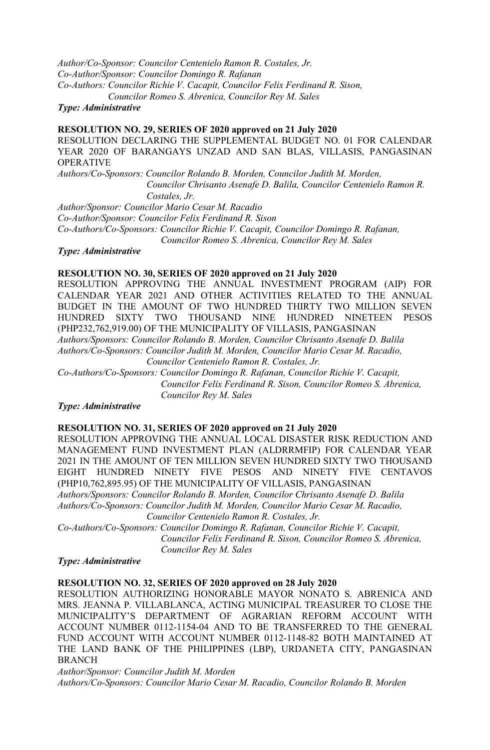*Author/Co-Sponsor: Councilor Centenielo Ramon R. Costales, Jr. Co-Author/Sponsor: Councilor Domingo R. Rafanan Co-Authors: Councilor Richie V. Cacapit, Councilor Felix Ferdinand R. Sison, Councilor Romeo S. Abrenica, Councilor Rey M. Sales* 

*Type: Administrative*

#### **RESOLUTION NO. 29, SERIES OF 2020 approved on 21 July 2020**

RESOLUTION DECLARING THE SUPPLEMENTAL BUDGET NO. 01 FOR CALENDAR YEAR 2020 OF BARANGAYS UNZAD AND SAN BLAS, VILLASIS, PANGASINAN OPERATIVE

*Authors/Co-Sponsors: Councilor Rolando B. Morden, Councilor Judith M. Morden, Councilor Chrisanto Asenafe D. Balila, Councilor Centenielo Ramon R. Costales, Jr.*

*Author/Sponsor: Councilor Mario Cesar M. Racadio Co-Author/Sponsor: Councilor Felix Ferdinand R. Sison Co-Authors/Co-Sponsors: Councilor Richie V. Cacapit, Councilor Domingo R. Rafanan, Councilor Romeo S. Abrenica, Councilor Rey M. Sales* 

## *Type: Administrative*

#### **RESOLUTION NO. 30, SERIES OF 2020 approved on 21 July 2020**

RESOLUTION APPROVING THE ANNUAL INVESTMENT PROGRAM (AIP) FOR CALENDAR YEAR 2021 AND OTHER ACTIVITIES RELATED TO THE ANNUAL BUDGET IN THE AMOUNT OF TWO HUNDRED THIRTY TWO MILLION SEVEN HUNDRED SIXTY TWO THOUSAND NINE HUNDRED NINETEEN PESOS (PHP232,762,919.00) OF THE MUNICIPALITY OF VILLASIS, PANGASINAN *Authors/Sponsors: Councilor Rolando B. Morden, Councilor Chrisanto Asenafe D. Balila Authors/Co-Sponsors: Councilor Judith M. Morden, Councilor Mario Cesar M. Racadio, Councilor Centenielo Ramon R. Costales, Jr. Co-Authors/Co-Sponsors: Councilor Domingo R. Rafanan, Councilor Richie V. Cacapit,* 

 *Councilor Felix Ferdinand R. Sison, Councilor Romeo S. Abrenica, Councilor Rey M. Sales* 

## *Type: Administrative*

#### **RESOLUTION NO. 31, SERIES OF 2020 approved on 21 July 2020**

RESOLUTION APPROVING THE ANNUAL LOCAL DISASTER RISK REDUCTION AND MANAGEMENT FUND INVESTMENT PLAN (ALDRRMFIP) FOR CALENDAR YEAR 2021 IN THE AMOUNT OF TEN MILLION SEVEN HUNDRED SIXTY TWO THOUSAND EIGHT HUNDRED NINETY FIVE PESOS AND NINETY FIVE CENTAVOS (PHP10,762,895.95) OF THE MUNICIPALITY OF VILLASIS, PANGASINAN *Authors/Sponsors: Councilor Rolando B. Morden, Councilor Chrisanto Asenafe D. Balila Authors/Co-Sponsors: Councilor Judith M. Morden, Councilor Mario Cesar M. Racadio,*

*Councilor Centenielo Ramon R. Costales, Jr.*

*Co-Authors/Co-Sponsors: Councilor Domingo R. Rafanan, Councilor Richie V. Cacapit, Councilor Felix Ferdinand R. Sison, Councilor Romeo S. Abrenica, Councilor Rey M. Sales* 

## *Type: Administrative*

## **RESOLUTION NO. 32, SERIES OF 2020 approved on 28 July 2020**

RESOLUTION AUTHORIZING HONORABLE MAYOR NONATO S. ABRENICA AND MRS. JEANNA P. VILLABLANCA, ACTING MUNICIPAL TREASURER TO CLOSE THE MUNICIPALITY'S DEPARTMENT OF AGRARIAN REFORM ACCOUNT WITH ACCOUNT NUMBER 0112-1154-04 AND TO BE TRANSFERRED TO THE GENERAL FUND ACCOUNT WITH ACCOUNT NUMBER 0112-1148-82 BOTH MAINTAINED AT THE LAND BANK OF THE PHILIPPINES (LBP), URDANETA CITY, PANGASINAN BRANCH

*Author/Sponsor: Councilor Judith M. Morden* 

*Authors/Co-Sponsors: Councilor Mario Cesar M. Racadio, Councilor Rolando B. Morden*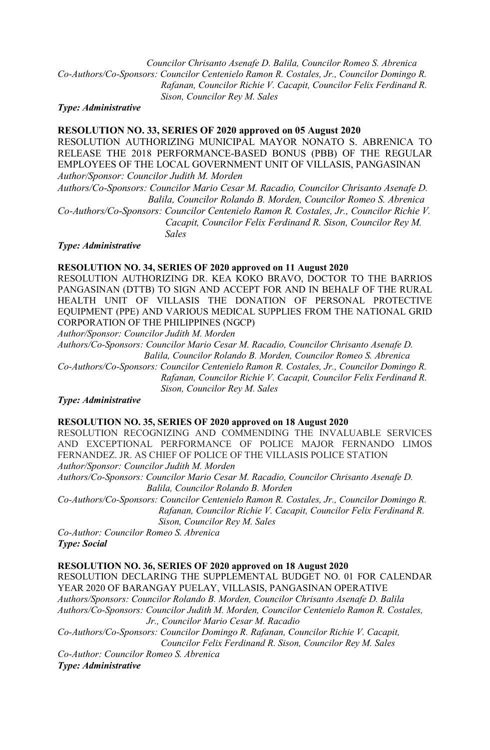*Councilor Chrisanto Asenafe D. Balila, Councilor Romeo S. Abrenica Co-Authors/Co-Sponsors: Councilor Centenielo Ramon R. Costales, Jr., Councilor Domingo R. Rafanan, Councilor Richie V. Cacapit, Councilor Felix Ferdinand R. Sison, Councilor Rey M. Sales*

*Type: Administrative*

## **RESOLUTION NO. 33, SERIES OF 2020 approved on 05 August 2020**

RESOLUTION AUTHORIZING MUNICIPAL MAYOR NONATO S. ABRENICA TO RELEASE THE 2018 PERFORMANCE-BASED BONUS (PBB) OF THE REGULAR EMPLOYEES OF THE LOCAL GOVERNMENT UNIT OF VILLASIS, PANGASINAN *Author/Sponsor: Councilor Judith M. Morden*

*Authors/Co-Sponsors: Councilor Mario Cesar M. Racadio, Councilor Chrisanto Asenafe D. Balila, Councilor Rolando B. Morden, Councilor Romeo S. Abrenica*

*Co-Authors/Co-Sponsors: Councilor Centenielo Ramon R. Costales, Jr., Councilor Richie V. Cacapit, Councilor Felix Ferdinand R. Sison, Councilor Rey M. Sales* 

*Type: Administrative*

#### **RESOLUTION NO. 34, SERIES OF 2020 approved on 11 August 2020**

RESOLUTION AUTHORIZING DR. KEA KOKO BRAVO, DOCTOR TO THE BARRIOS PANGASINAN (DTTB) TO SIGN AND ACCEPT FOR AND IN BEHALF OF THE RURAL HEALTH UNIT OF VILLASIS THE DONATION OF PERSONAL PROTECTIVE EQUIPMENT (PPE) AND VARIOUS MEDICAL SUPPLIES FROM THE NATIONAL GRID CORPORATION OF THE PHILIPPINES (NGCP)

*Author/Sponsor: Councilor Judith M. Morden*

*Authors/Co-Sponsors: Councilor Mario Cesar M. Racadio, Councilor Chrisanto Asenafe D. Balila, Councilor Rolando B. Morden, Councilor Romeo S. Abrenica*

*Co-Authors/Co-Sponsors: Councilor Centenielo Ramon R. Costales, Jr., Councilor Domingo R. Rafanan, Councilor Richie V. Cacapit, Councilor Felix Ferdinand R. Sison, Councilor Rey M. Sales*

## *Type: Administrative*

#### **RESOLUTION NO. 35, SERIES OF 2020 approved on 18 August 2020**

RESOLUTION RECOGNIZING AND COMMENDING THE INVALUABLE SERVICES AND EXCEPTIONAL PERFORMANCE OF POLICE MAJOR FERNANDO LIMOS FERNANDEZ. JR. AS CHIEF OF POLICE OF THE VILLASIS POLICE STATION *Author/Sponsor: Councilor Judith M. Morden*

*Authors/Co-Sponsors: Councilor Mario Cesar M. Racadio, Councilor Chrisanto Asenafe D. Balila, Councilor Rolando B. Morden*

*Co-Authors/Co-Sponsors: Councilor Centenielo Ramon R. Costales, Jr., Councilor Domingo R. Rafanan, Councilor Richie V. Cacapit, Councilor Felix Ferdinand R. Sison, Councilor Rey M. Sales* 

*Co-Author: Councilor Romeo S. Abrenica Type: Social*

## **RESOLUTION NO. 36, SERIES OF 2020 approved on 18 August 2020**

RESOLUTION DECLARING THE SUPPLEMENTAL BUDGET NO. 01 FOR CALENDAR YEAR 2020 OF BARANGAY PUELAY, VILLASIS, PANGASINAN OPERATIVE *Authors/Sponsors: Councilor Rolando B. Morden, Councilor Chrisanto Asenafe D. Balila Authors/Co-Sponsors: Councilor Judith M. Morden, Councilor Centenielo Ramon R. Costales, Jr., Councilor Mario Cesar M. Racadio*

*Co-Authors/Co-Sponsors: Councilor Domingo R. Rafanan, Councilor Richie V. Cacapit, Councilor Felix Ferdinand R. Sison, Councilor Rey M. Sales* 

*Co-Author: Councilor Romeo S. Abrenica Type: Administrative*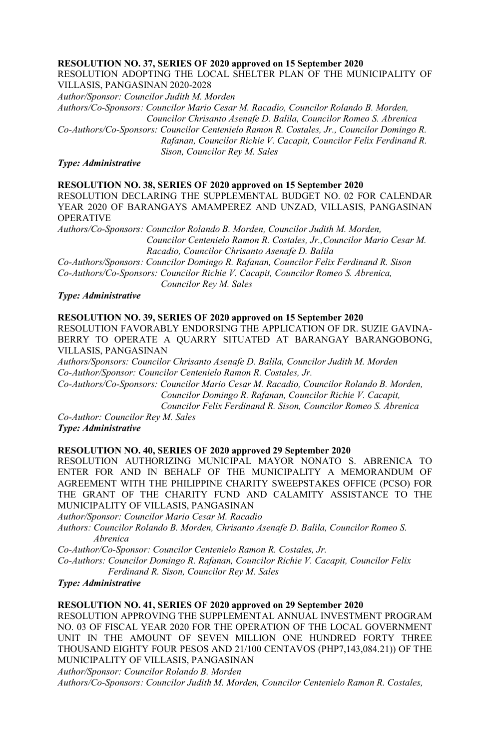## **RESOLUTION NO. 37, SERIES OF 2020 approved on 15 September 2020**

RESOLUTION ADOPTING THE LOCAL SHELTER PLAN OF THE MUNICIPALITY OF VILLASIS, PANGASINAN 2020-2028

*Author/Sponsor: Councilor Judith M. Morden*

*Authors/Co-Sponsors: Councilor Mario Cesar M. Racadio, Councilor Rolando B. Morden, Councilor Chrisanto Asenafe D. Balila, Councilor Romeo S. Abrenica Co-Authors/Co-Sponsors: Councilor Centenielo Ramon R. Costales, Jr., Councilor Domingo R. Rafanan, Councilor Richie V. Cacapit, Councilor Felix Ferdinand R. Sison, Councilor Rey M. Sales*

*Type: Administrative*

## **RESOLUTION NO. 38, SERIES OF 2020 approved on 15 September 2020**

RESOLUTION DECLARING THE SUPPLEMENTAL BUDGET NO. 02 FOR CALENDAR YEAR 2020 OF BARANGAYS AMAMPEREZ AND UNZAD, VILLASIS, PANGASINAN OPERATIVE

*Authors/Co-Sponsors: Councilor Rolando B. Morden, Councilor Judith M. Morden, Councilor Centenielo Ramon R. Costales, Jr.,Councilor Mario Cesar M. Racadio, Councilor Chrisanto Asenafe D. Balila Co-Authors/Sponsors: Councilor Domingo R. Rafanan, Councilor Felix Ferdinand R. Sison*

*Co-Authors/Co-Sponsors: Councilor Richie V. Cacapit, Councilor Romeo S. Abrenica,*

 *Councilor Rey M. Sales*

## *Type: Administrative*

## **RESOLUTION NO. 39, SERIES OF 2020 approved on 15 September 2020**

RESOLUTION FAVORABLY ENDORSING THE APPLICATION OF DR. SUZIE GAVINA-BERRY TO OPERATE A QUARRY SITUATED AT BARANGAY BARANGOBONG, VILLASIS, PANGASINAN

*Authors/Sponsors: Councilor Chrisanto Asenafe D. Balila, Councilor Judith M. Morden Co-Author/Sponsor: Councilor Centenielo Ramon R. Costales, Jr.*

*Co-Authors/Co-Sponsors: Councilor Mario Cesar M. Racadio, Councilor Rolando B. Morden, Councilor Domingo R. Rafanan, Councilor Richie V. Cacapit,* 

 *Councilor Felix Ferdinand R. Sison, Councilor Romeo S. Abrenica*

*Co-Author: Councilor Rey M. Sales Type: Administrative*

#### **RESOLUTION NO. 40, SERIES OF 2020 approved 29 September 2020**

RESOLUTION AUTHORIZING MUNICIPAL MAYOR NONATO S. ABRENICA TO ENTER FOR AND IN BEHALF OF THE MUNICIPALITY A MEMORANDUM OF AGREEMENT WITH THE PHILIPPINE CHARITY SWEEPSTAKES OFFICE (PCSO) FOR THE GRANT OF THE CHARITY FUND AND CALAMITY ASSISTANCE TO THE MUNICIPALITY OF VILLASIS, PANGASINAN

*Author/Sponsor: Councilor Mario Cesar M. Racadio*

*Authors: Councilor Rolando B. Morden, Chrisanto Asenafe D. Balila, Councilor Romeo S. Abrenica*

*Co-Author/Co-Sponsor: Councilor Centenielo Ramon R. Costales, Jr.*

*Co-Authors: Councilor Domingo R. Rafanan, Councilor Richie V. Cacapit, Councilor Felix Ferdinand R. Sison, Councilor Rey M. Sales*

*Type: Administrative*

#### **RESOLUTION NO. 41, SERIES OF 2020 approved on 29 September 2020**

RESOLUTION APPROVING THE SUPPLEMENTAL ANNUAL INVESTMENT PROGRAM NO. 03 OF FISCAL YEAR 2020 FOR THE OPERATION OF THE LOCAL GOVERNMENT UNIT IN THE AMOUNT OF SEVEN MILLION ONE HUNDRED FORTY THREE THOUSAND EIGHTY FOUR PESOS AND 21/100 CENTAVOS (PHP7,143,084.21)) OF THE MUNICIPALITY OF VILLASIS, PANGASINAN

*Author/Sponsor: Councilor Rolando B. Morden*

*Authors/Co-Sponsors: Councilor Judith M. Morden, Councilor Centenielo Ramon R. Costales,*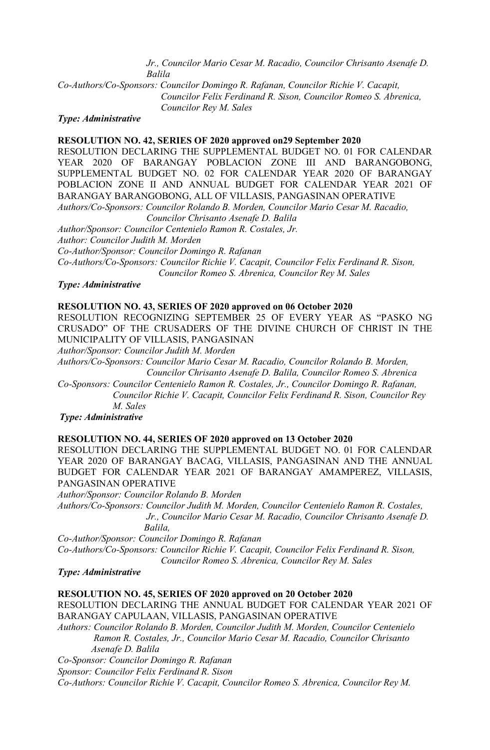*Jr., Councilor Mario Cesar M. Racadio, Councilor Chrisanto Asenafe D. Balila*

*Co-Authors/Co-Sponsors: Councilor Domingo R. Rafanan, Councilor Richie V. Cacapit, Councilor Felix Ferdinand R. Sison, Councilor Romeo S. Abrenica, Councilor Rey M. Sales*

#### *Type: Administrative*

#### **RESOLUTION NO. 42, SERIES OF 2020 approved on29 September 2020**

RESOLUTION DECLARING THE SUPPLEMENTAL BUDGET NO. 01 FOR CALENDAR YEAR 2020 OF BARANGAY POBLACION ZONE III AND BARANGOBONG, SUPPLEMENTAL BUDGET NO. 02 FOR CALENDAR YEAR 2020 OF BARANGAY POBLACION ZONE II AND ANNUAL BUDGET FOR CALENDAR YEAR 2021 OF BARANGAY BARANGOBONG, ALL OF VILLASIS, PANGASINAN OPERATIVE *Authors/Co-Sponsors: Councilor Rolando B. Morden, Councilor Mario Cesar M. Racadio,*

 *Councilor Chrisanto Asenafe D. Balila* 

*Author/Sponsor: Councilor Centenielo Ramon R. Costales, Jr.*

*Author: Councilor Judith M. Morden*

*Co-Author/Sponsor: Councilor Domingo R. Rafanan*

*Co-Authors/Co-Sponsors: Councilor Richie V. Cacapit, Councilor Felix Ferdinand R. Sison,*

*Councilor Romeo S. Abrenica, Councilor Rey M. Sales*

#### *Type: Administrative*

#### **RESOLUTION NO. 43, SERIES OF 2020 approved on 06 October 2020**

RESOLUTION RECOGNIZING SEPTEMBER 25 OF EVERY YEAR AS "PASKO NG CRUSADO" OF THE CRUSADERS OF THE DIVINE CHURCH OF CHRIST IN THE MUNICIPALITY OF VILLASIS, PANGASINAN

*Author/Sponsor: Councilor Judith M. Morden*

*Authors/Co-Sponsors: Councilor Mario Cesar M. Racadio, Councilor Rolando B. Morden, Councilor Chrisanto Asenafe D. Balila, Councilor Romeo S. Abrenica*

*Co-Sponsors: Councilor Centenielo Ramon R. Costales, Jr., Councilor Domingo R. Rafanan, Councilor Richie V. Cacapit, Councilor Felix Ferdinand R. Sison, Councilor Rey M. Sales*

*Type: Administrative*

#### **RESOLUTION NO. 44, SERIES OF 2020 approved on 13 October 2020**

RESOLUTION DECLARING THE SUPPLEMENTAL BUDGET NO. 01 FOR CALENDAR YEAR 2020 OF BARANGAY BACAG, VILLASIS, PANGASINAN AND THE ANNUAL BUDGET FOR CALENDAR YEAR 2021 OF BARANGAY AMAMPEREZ, VILLASIS, PANGASINAN OPERATIVE

*Author/Sponsor: Councilor Rolando B. Morden*

*Authors/Co-Sponsors: Councilor Judith M. Morden, Councilor Centenielo Ramon R. Costales, Jr., Councilor Mario Cesar M. Racadio, Councilor Chrisanto Asenafe D. Balila,* 

*Co-Author/Sponsor: Councilor Domingo R. Rafanan*

*Co-Authors/Co-Sponsors: Councilor Richie V. Cacapit, Councilor Felix Ferdinand R. Sison, Councilor Romeo S. Abrenica, Councilor Rey M. Sales*

#### *Type: Administrative*

**RESOLUTION NO. 45, SERIES OF 2020 approved on 20 October 2020** RESOLUTION DECLARING THE ANNUAL BUDGET FOR CALENDAR YEAR 2021 OF BARANGAY CAPULAAN, VILLASIS, PANGASINAN OPERATIVE *Authors: Councilor Rolando B. Morden, Councilor Judith M. Morden, Councilor Centenielo Ramon R. Costales, Jr., Councilor Mario Cesar M. Racadio, Councilor Chrisanto Asenafe D. Balila*

*Co-Sponsor: Councilor Domingo R. Rafanan Sponsor: Councilor Felix Ferdinand R. Sison Co-Authors: Councilor Richie V. Cacapit, Councilor Romeo S. Abrenica, Councilor Rey M.*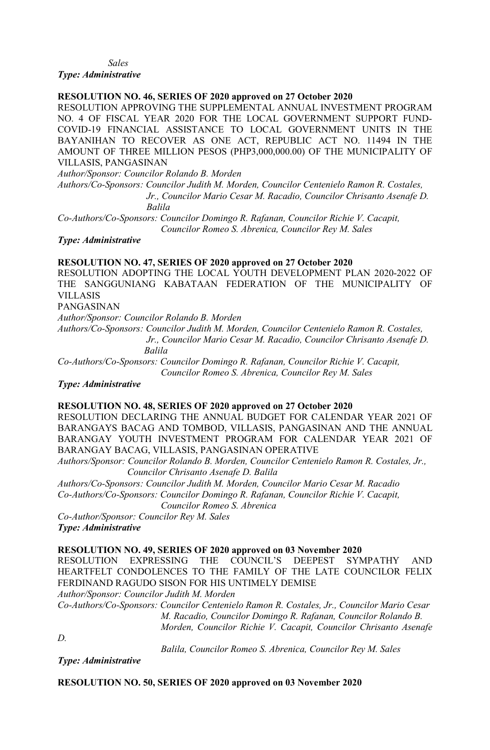*Sales*

*Type: Administrative*

## **RESOLUTION NO. 46, SERIES OF 2020 approved on 27 October 2020**

RESOLUTION APPROVING THE SUPPLEMENTAL ANNUAL INVESTMENT PROGRAM NO. 4 OF FISCAL YEAR 2020 FOR THE LOCAL GOVERNMENT SUPPORT FUND-COVID-19 FINANCIAL ASSISTANCE TO LOCAL GOVERNMENT UNITS IN THE BAYANIHAN TO RECOVER AS ONE ACT, REPUBLIC ACT NO. 11494 IN THE AMOUNT OF THREE MILLION PESOS (PHP3,000,000.00) OF THE MUNICIPALITY OF VILLASIS, PANGASINAN

*Author/Sponsor: Councilor Rolando B. Morden*

*Authors/Co-Sponsors: Councilor Judith M. Morden, Councilor Centenielo Ramon R. Costales, Jr., Councilor Mario Cesar M. Racadio, Councilor Chrisanto Asenafe D. Balila*

*Co-Authors/Co-Sponsors: Councilor Domingo R. Rafanan, Councilor Richie V. Cacapit, Councilor Romeo S. Abrenica, Councilor Rey M. Sales*

*Type: Administrative*

## **RESOLUTION NO. 47, SERIES OF 2020 approved on 27 October 2020**

RESOLUTION ADOPTING THE LOCAL YOUTH DEVELOPMENT PLAN 2020-2022 OF THE SANGGUNIANG KABATAAN FEDERATION OF THE MUNICIPALITY OF VILLASIS

PANGASINAN

*Author/Sponsor: Councilor Rolando B. Morden*

*Authors/Co-Sponsors: Councilor Judith M. Morden, Councilor Centenielo Ramon R. Costales, Jr., Councilor Mario Cesar M. Racadio, Councilor Chrisanto Asenafe D. Balila*

*Co-Authors/Co-Sponsors: Councilor Domingo R. Rafanan, Councilor Richie V. Cacapit, Councilor Romeo S. Abrenica, Councilor Rey M. Sales*

*Type: Administrative*

## **RESOLUTION NO. 48, SERIES OF 2020 approved on 27 October 2020**

RESOLUTION DECLARING THE ANNUAL BUDGET FOR CALENDAR YEAR 2021 OF BARANGAYS BACAG AND TOMBOD, VILLASIS, PANGASINAN AND THE ANNUAL BARANGAY YOUTH INVESTMENT PROGRAM FOR CALENDAR YEAR 2021 OF BARANGAY BACAG, VILLASIS, PANGASINAN OPERATIVE

*Authors/Sponsor: Councilor Rolando B. Morden, Councilor Centenielo Ramon R. Costales, Jr., Councilor Chrisanto Asenafe D. Balila*

*Authors/Co-Sponsors: Councilor Judith M. Morden, Councilor Mario Cesar M. Racadio Co-Authors/Co-Sponsors: Councilor Domingo R. Rafanan, Councilor Richie V. Cacapit, Councilor Romeo S. Abrenica*

*Co-Author/Sponsor: Councilor Rey M. Sales Type: Administrative*

**RESOLUTION NO. 49, SERIES OF 2020 approved on 03 November 2020**

RESOLUTION EXPRESSING THE COUNCIL'S DEEPEST SYMPATHY AND HEARTFELT CONDOLENCES TO THE FAMILY OF THE LATE COUNCILOR FELIX FERDINAND RAGUDO SISON FOR HIS UNTIMELY DEMISE

*Author/Sponsor: Councilor Judith M. Morden* 

*Co-Authors/Co-Sponsors: Councilor Centenielo Ramon R. Costales, Jr., Councilor Mario Cesar M. Racadio, Councilor Domingo R. Rafanan, Councilor Rolando B. Morden, Councilor Richie V. Cacapit, Councilor Chrisanto Asenafe* 

*D.* 

 *Balila, Councilor Romeo S. Abrenica, Councilor Rey M. Sales*

*Type: Administrative*

**RESOLUTION NO. 50, SERIES OF 2020 approved on 03 November 2020**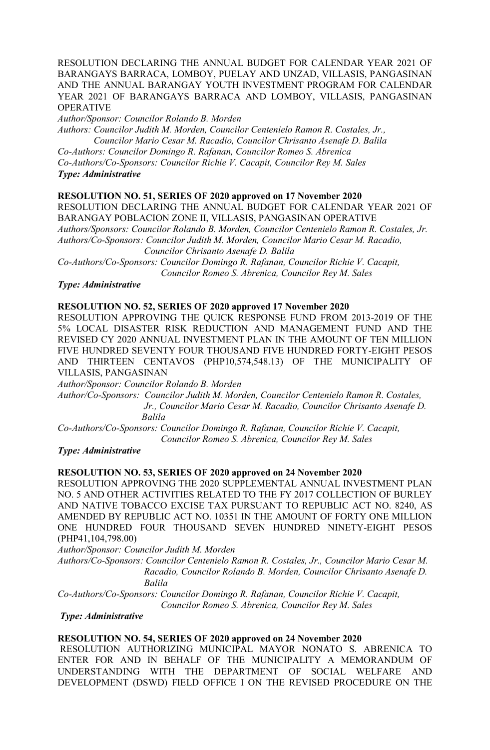## RESOLUTION DECLARING THE ANNUAL BUDGET FOR CALENDAR YEAR 2021 OF BARANGAYS BARRACA, LOMBOY, PUELAY AND UNZAD, VILLASIS, PANGASINAN AND THE ANNUAL BARANGAY YOUTH INVESTMENT PROGRAM FOR CALENDAR YEAR 2021 OF BARANGAYS BARRACA AND LOMBOY, VILLASIS, PANGASINAN OPERATIVE

*Author/Sponsor: Councilor Rolando B. Morden*

*Authors: Councilor Judith M. Morden, Councilor Centenielo Ramon R. Costales, Jr., Councilor Mario Cesar M. Racadio, Councilor Chrisanto Asenafe D. Balila*

*Co-Authors: Councilor Domingo R. Rafanan, Councilor Romeo S. Abrenica* 

*Co-Authors/Co-Sponsors: Councilor Richie V. Cacapit, Councilor Rey M. Sales Type: Administrative*

## **RESOLUTION NO. 51, SERIES OF 2020 approved on 17 November 2020**

RESOLUTION DECLARING THE ANNUAL BUDGET FOR CALENDAR YEAR 2021 OF BARANGAY POBLACION ZONE II, VILLASIS, PANGASINAN OPERATIVE *Authors/Sponsors: Councilor Rolando B. Morden, Councilor Centenielo Ramon R. Costales, Jr. Authors/Co-Sponsors: Councilor Judith M. Morden, Councilor Mario Cesar M. Racadio,*

*Councilor Chrisanto Asenafe D. Balila*

*Co-Authors/Co-Sponsors: Councilor Domingo R. Rafanan, Councilor Richie V. Cacapit, Councilor Romeo S. Abrenica, Councilor Rey M. Sales*

#### *Type: Administrative*

## **RESOLUTION NO. 52, SERIES OF 2020 approved 17 November 2020**

RESOLUTION APPROVING THE QUICK RESPONSE FUND FROM 2013-2019 OF THE 5% LOCAL DISASTER RISK REDUCTION AND MANAGEMENT FUND AND THE REVISED CY 2020 ANNUAL INVESTMENT PLAN IN THE AMOUNT OF TEN MILLION FIVE HUNDRED SEVENTY FOUR THOUSAND FIVE HUNDRED FORTY-EIGHT PESOS AND THIRTEEN CENTAVOS (PHP10,574,548.13) OF THE MUNICIPALITY OF VILLASIS, PANGASINAN

*Author/Sponsor: Councilor Rolando B. Morden*

*Author/Co-Sponsors: Councilor Judith M. Morden, Councilor Centenielo Ramon R. Costales, Jr., Councilor Mario Cesar M. Racadio, Councilor Chrisanto Asenafe D. Balila*

*Co-Authors/Co-Sponsors: Councilor Domingo R. Rafanan, Councilor Richie V. Cacapit, Councilor Romeo S. Abrenica, Councilor Rey M. Sales*

## *Type: Administrative*

#### **RESOLUTION NO. 53, SERIES OF 2020 approved on 24 November 2020**

RESOLUTION APPROVING THE 2020 SUPPLEMENTAL ANNUAL INVESTMENT PLAN NO. 5 AND OTHER ACTIVITIES RELATED TO THE FY 2017 COLLECTION OF BURLEY AND NATIVE TOBACCO EXCISE TAX PURSUANT TO REPUBLIC ACT NO. 8240, AS AMENDED BY REPUBLIC ACT NO. 10351 IN THE AMOUNT OF FORTY ONE MILLION ONE HUNDRED FOUR THOUSAND SEVEN HUNDRED NINETY-EIGHT PESOS (PHP41,104,798.00)

*Author/Sponsor: Councilor Judith M. Morden* 

*Authors/Co-Sponsors: Councilor Centenielo Ramon R. Costales, Jr., Councilor Mario Cesar M. Racadio, Councilor Rolando B. Morden, Councilor Chrisanto Asenafe D. Balila*

*Co-Authors/Co-Sponsors: Councilor Domingo R. Rafanan, Councilor Richie V. Cacapit, Councilor Romeo S. Abrenica, Councilor Rey M. Sales*

## *Type: Administrative*

## **RESOLUTION NO. 54, SERIES OF 2020 approved on 24 November 2020**

RESOLUTION AUTHORIZING MUNICIPAL MAYOR NONATO S. ABRENICA TO ENTER FOR AND IN BEHALF OF THE MUNICIPALITY A MEMORANDUM OF UNDERSTANDING WITH THE DEPARTMENT OF SOCIAL WELFARE AND DEVELOPMENT (DSWD) FIELD OFFICE I ON THE REVISED PROCEDURE ON THE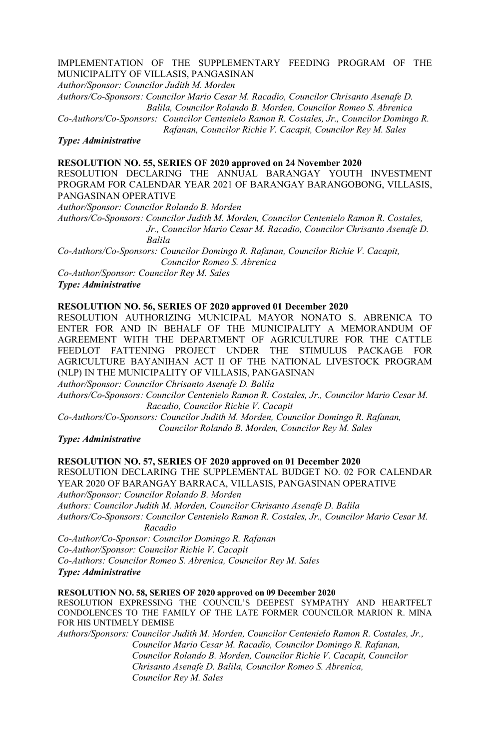#### IMPLEMENTATION OF THE SUPPLEMENTARY FEEDING PROGRAM OF THE MUNICIPALITY OF VILLASIS, PANGASINAN

*Author/Sponsor: Councilor Judith M. Morden*

*Authors/Co-Sponsors: Councilor Mario Cesar M. Racadio, Councilor Chrisanto Asenafe D. Balila, Councilor Rolando B. Morden, Councilor Romeo S. Abrenica*

*Co-Authors/Co-Sponsors: Councilor Centenielo Ramon R. Costales, Jr., Councilor Domingo R. Rafanan, Councilor Richie V. Cacapit, Councilor Rey M. Sales* 

*Type: Administrative*

#### **RESOLUTION NO. 55, SERIES OF 2020 approved on 24 November 2020**

RESOLUTION DECLARING THE ANNUAL BARANGAY YOUTH INVESTMENT PROGRAM FOR CALENDAR YEAR 2021 OF BARANGAY BARANGOBONG, VILLASIS, PANGASINAN OPERATIVE

*Author/Sponsor: Councilor Rolando B. Morden*

*Authors/Co-Sponsors: Councilor Judith M. Morden, Councilor Centenielo Ramon R. Costales, Jr., Councilor Mario Cesar M. Racadio, Councilor Chrisanto Asenafe D. Balila*

*Co-Authors/Co-Sponsors: Councilor Domingo R. Rafanan, Councilor Richie V. Cacapit, Councilor Romeo S. Abrenica*

*Co-Author/Sponsor: Councilor Rey M. Sales*

*Type: Administrative*

## **RESOLUTION NO. 56, SERIES OF 2020 approved 01 December 2020**

RESOLUTION AUTHORIZING MUNICIPAL MAYOR NONATO S. ABRENICA TO ENTER FOR AND IN BEHALF OF THE MUNICIPALITY A MEMORANDUM OF AGREEMENT WITH THE DEPARTMENT OF AGRICULTURE FOR THE CATTLE FEEDLOT FATTENING PROJECT UNDER THE STIMULUS PACKAGE FOR AGRICULTURE BAYANIHAN ACT II OF THE NATIONAL LIVESTOCK PROGRAM (NLP) IN THE MUNICIPALITY OF VILLASIS, PANGASINAN

*Author/Sponsor: Councilor Chrisanto Asenafe D. Balila*

*Authors/Co-Sponsors: Councilor Centenielo Ramon R. Costales, Jr., Councilor Mario Cesar M. Racadio, Councilor Richie V. Cacapit*

*Co-Authors/Co-Sponsors: Councilor Judith M. Morden, Councilor Domingo R. Rafanan, Councilor Rolando B. Morden, Councilor Rey M. Sales*

*Type: Administrative*

## **RESOLUTION NO. 57, SERIES OF 2020 approved on 01 December 2020**

RESOLUTION DECLARING THE SUPPLEMENTAL BUDGET NO. 02 FOR CALENDAR YEAR 2020 OF BARANGAY BARRACA, VILLASIS, PANGASINAN OPERATIVE *Author/Sponsor: Councilor Rolando B. Morden*

*Authors: Councilor Judith M. Morden, Councilor Chrisanto Asenafe D. Balila Authors/Co-Sponsors: Councilor Centenielo Ramon R. Costales, Jr., Councilor Mario Cesar M. Racadio*

*Co-Author/Co-Sponsor: Councilor Domingo R. Rafanan Co-Author/Sponsor: Councilor Richie V. Cacapit Co-Authors: Councilor Romeo S. Abrenica, Councilor Rey M. Sales Type: Administrative*

#### **RESOLUTION NO. 58, SERIES OF 2020 approved on 09 December 2020**

RESOLUTION EXPRESSING THE COUNCIL'S DEEPEST SYMPATHY AND HEARTFELT CONDOLENCES TO THE FAMILY OF THE LATE FORMER COUNCILOR MARION R. MINA FOR HIS UNTIMELY DEMISE

*Authors/Sponsors: Councilor Judith M. Morden, Councilor Centenielo Ramon R. Costales, Jr., Councilor Mario Cesar M. Racadio, Councilor Domingo R. Rafanan, Councilor Rolando B. Morden, Councilor Richie V. Cacapit, Councilor Chrisanto Asenafe D. Balila, Councilor Romeo S. Abrenica, Councilor Rey M. Sales*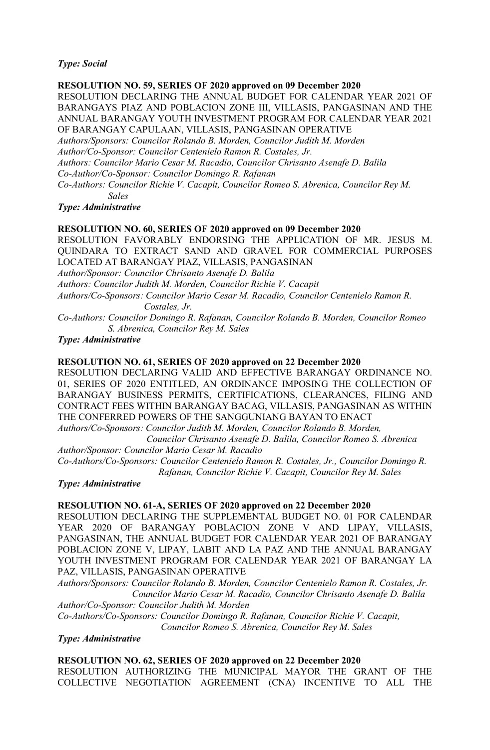## *Type: Social*

#### **RESOLUTION NO. 59, SERIES OF 2020 approved on 09 December 2020**

RESOLUTION DECLARING THE ANNUAL BUDGET FOR CALENDAR YEAR 2021 OF BARANGAYS PIAZ AND POBLACION ZONE III, VILLASIS, PANGASINAN AND THE ANNUAL BARANGAY YOUTH INVESTMENT PROGRAM FOR CALENDAR YEAR 2021 OF BARANGAY CAPULAAN, VILLASIS, PANGASINAN OPERATIVE

*Authors/Sponsors: Councilor Rolando B. Morden, Councilor Judith M. Morden*

*Author/Co-Sponsor: Councilor Centenielo Ramon R. Costales, Jr.*

*Authors: Councilor Mario Cesar M. Racadio, Councilor Chrisanto Asenafe D. Balila*

*Co-Author/Co-Sponsor: Councilor Domingo R. Rafanan*

*Co-Authors: Councilor Richie V. Cacapit, Councilor Romeo S. Abrenica, Councilor Rey M. Sales*

#### *Type: Administrative*

#### **RESOLUTION NO. 60, SERIES OF 2020 approved on 09 December 2020**

RESOLUTION FAVORABLY ENDORSING THE APPLICATION OF MR. JESUS M. QUINDARA TO EXTRACT SAND AND GRAVEL FOR COMMERCIAL PURPOSES LOCATED AT BARANGAY PIAZ, VILLASIS, PANGASINAN *Author/Sponsor: Councilor Chrisanto Asenafe D. Balila Authors: Councilor Judith M. Morden, Councilor Richie V. Cacapit Authors/Co-Sponsors: Councilor Mario Cesar M. Racadio, Councilor Centenielo Ramon R. Costales, Jr.*

*Co-Authors: Councilor Domingo R. Rafanan, Councilor Rolando B. Morden, Councilor Romeo S. Abrenica, Councilor Rey M. Sales*

*Type: Administrative*

#### **RESOLUTION NO. 61, SERIES OF 2020 approved on 22 December 2020**

RESOLUTION DECLARING VALID AND EFFECTIVE BARANGAY ORDINANCE NO. 01, SERIES OF 2020 ENTITLED, AN ORDINANCE IMPOSING THE COLLECTION OF BARANGAY BUSINESS PERMITS, CERTIFICATIONS, CLEARANCES, FILING AND CONTRACT FEES WITHIN BARANGAY BACAG, VILLASIS, PANGASINAN AS WITHIN THE CONFERRED POWERS OF THE SANGGUNIANG BAYAN TO ENACT

*Authors/Co-Sponsors: Councilor Judith M. Morden, Councilor Rolando B. Morden,* 

 *Councilor Chrisanto Asenafe D. Balila, Councilor Romeo S. Abrenica Author/Sponsor: Councilor Mario Cesar M. Racadio*

*Co-Authors/Co-Sponsors: Councilor Centenielo Ramon R. Costales, Jr., Councilor Domingo R. Rafanan, Councilor Richie V. Cacapit, Councilor Rey M. Sales*

#### *Type: Administrative*

## **RESOLUTION NO. 61-A, SERIES OF 2020 approved on 22 December 2020**

RESOLUTION DECLARING THE SUPPLEMENTAL BUDGET NO. 01 FOR CALENDAR YEAR 2020 OF BARANGAY POBLACION ZONE V AND LIPAY, VILLASIS, PANGASINAN, THE ANNUAL BUDGET FOR CALENDAR YEAR 2021 OF BARANGAY POBLACION ZONE V, LIPAY, LABIT AND LA PAZ AND THE ANNUAL BARANGAY YOUTH INVESTMENT PROGRAM FOR CALENDAR YEAR 2021 OF BARANGAY LA PAZ, VILLASIS, PANGASINAN OPERATIVE

*Authors/Sponsors: Councilor Rolando B. Morden, Councilor Centenielo Ramon R. Costales, Jr. Councilor Mario Cesar M. Racadio, Councilor Chrisanto Asenafe D. Balila Author/Co-Sponsor: Councilor Judith M. Morden*

*Co-Authors/Co-Sponsors: Councilor Domingo R. Rafanan, Councilor Richie V. Cacapit, Councilor Romeo S. Abrenica, Councilor Rey M. Sales*

## *Type: Administrative*

**RESOLUTION NO. 62, SERIES OF 2020 approved on 22 December 2020** RESOLUTION AUTHORIZING THE MUNICIPAL MAYOR THE GRANT OF THE COLLECTIVE NEGOTIATION AGREEMENT (CNA) INCENTIVE TO ALL THE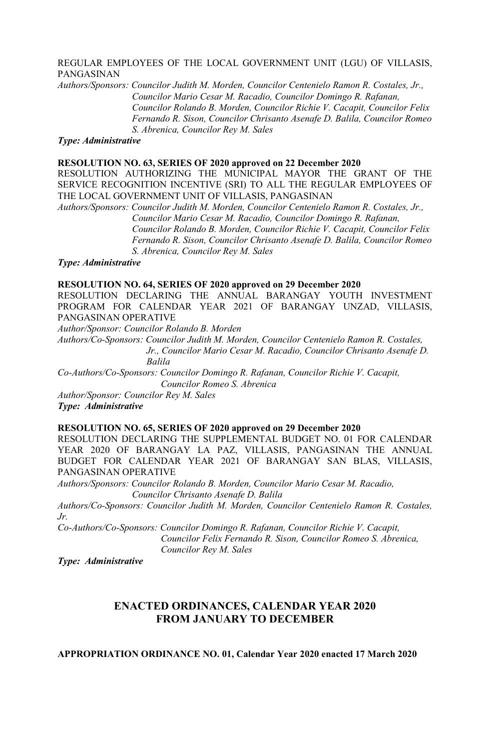## REGULAR EMPLOYEES OF THE LOCAL GOVERNMENT UNIT (LGU) OF VILLASIS, PANGASINAN

*Authors/Sponsors: Councilor Judith M. Morden, Councilor Centenielo Ramon R. Costales, Jr., Councilor Mario Cesar M. Racadio, Councilor Domingo R. Rafanan, Councilor Rolando B. Morden, Councilor Richie V. Cacapit, Councilor Felix Fernando R. Sison, Councilor Chrisanto Asenafe D. Balila, Councilor Romeo S. Abrenica, Councilor Rey M. Sales*

#### *Type: Administrative*

#### **RESOLUTION NO. 63, SERIES OF 2020 approved on 22 December 2020**

RESOLUTION AUTHORIZING THE MUNICIPAL MAYOR THE GRANT OF THE SERVICE RECOGNITION INCENTIVE (SRI) TO ALL THE REGULAR EMPLOYEES OF THE LOCAL GOVERNMENT UNIT OF VILLASIS, PANGASINAN

*Authors/Sponsors: Councilor Judith M. Morden, Councilor Centenielo Ramon R. Costales, Jr., Councilor Mario Cesar M. Racadio, Councilor Domingo R. Rafanan, Councilor Rolando B. Morden, Councilor Richie V. Cacapit, Councilor Felix Fernando R. Sison, Councilor Chrisanto Asenafe D. Balila, Councilor Romeo S. Abrenica, Councilor Rey M. Sales*

*Type: Administrative*

## **RESOLUTION NO. 64, SERIES OF 2020 approved on 29 December 2020**

RESOLUTION DECLARING THE ANNUAL BARANGAY YOUTH INVESTMENT PROGRAM FOR CALENDAR YEAR 2021 OF BARANGAY UNZAD, VILLASIS, PANGASINAN OPERATIVE

*Author/Sponsor: Councilor Rolando B. Morden*

*Authors/Co-Sponsors: Councilor Judith M. Morden, Councilor Centenielo Ramon R. Costales,* 

 *Jr., Councilor Mario Cesar M. Racadio, Councilor Chrisanto Asenafe D. Balila*

*Co-Authors/Co-Sponsors: Councilor Domingo R. Rafanan, Councilor Richie V. Cacapit, Councilor Romeo S. Abrenica*

*Author/Sponsor: Councilor Rey M. Sales Type: Administrative*

#### **RESOLUTION NO. 65, SERIES OF 2020 approved on 29 December 2020**

RESOLUTION DECLARING THE SUPPLEMENTAL BUDGET NO. 01 FOR CALENDAR YEAR 2020 OF BARANGAY LA PAZ, VILLASIS, PANGASINAN THE ANNUAL BUDGET FOR CALENDAR YEAR 2021 OF BARANGAY SAN BLAS, VILLASIS, PANGASINAN OPERATIVE

*Authors/Sponsors: Councilor Rolando B. Morden, Councilor Mario Cesar M. Racadio, Councilor Chrisanto Asenafe D. Balila*

*Authors/Co-Sponsors: Councilor Judith M. Morden, Councilor Centenielo Ramon R. Costales, Jr.*

*Co-Authors/Co-Sponsors: Councilor Domingo R. Rafanan, Councilor Richie V. Cacapit, Councilor Felix Fernando R. Sison, Councilor Romeo S. Abrenica, Councilor Rey M. Sales*

*Type: Administrative*

# **ENACTED ORDINANCES, CALENDAR YEAR 2020 FROM JANUARY TO DECEMBER**

**APPROPRIATION ORDINANCE NO. 01, Calendar Year 2020 enacted 17 March 2020**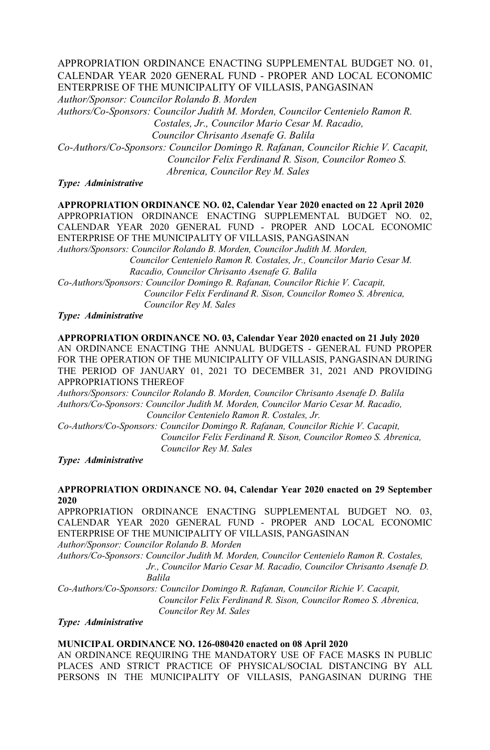# APPROPRIATION ORDINANCE ENACTING SUPPLEMENTAL BUDGET NO. 01, CALENDAR YEAR 2020 GENERAL FUND - PROPER AND LOCAL ECONOMIC ENTERPRISE OF THE MUNICIPALITY OF VILLASIS, PANGASINAN

*Author/Sponsor: Councilor Rolando B. Morden*

*Authors/Co-Sponsors: Councilor Judith M. Morden, Councilor Centenielo Ramon R. Costales, Jr., Councilor Mario Cesar M. Racadio, Councilor Chrisanto Asenafe G. Balila*

*Co-Authors/Co-Sponsors: Councilor Domingo R. Rafanan, Councilor Richie V. Cacapit, Councilor Felix Ferdinand R. Sison, Councilor Romeo S. Abrenica, Councilor Rey M. Sales*

*Type: Administrative*

# **APPROPRIATION ORDINANCE NO. 02, Calendar Year 2020 enacted on 22 April 2020**

APPROPRIATION ORDINANCE ENACTING SUPPLEMENTAL BUDGET NO. 02, CALENDAR YEAR 2020 GENERAL FUND - PROPER AND LOCAL ECONOMIC ENTERPRISE OF THE MUNICIPALITY OF VILLASIS, PANGASINAN

*Authors/Sponsors: Councilor Rolando B. Morden, Councilor Judith M. Morden, Councilor Centenielo Ramon R. Costales, Jr., Councilor Mario Cesar M. Racadio, Councilor Chrisanto Asenafe G. Balila*

*Co-Authors/Sponsors: Councilor Domingo R. Rafanan, Councilor Richie V. Cacapit, Councilor Felix Ferdinand R. Sison, Councilor Romeo S. Abrenica, Councilor Rey M. Sales*

*Type: Administrative*

## **APPROPRIATION ORDINANCE NO. 03, Calendar Year 2020 enacted on 21 July 2020** AN ORDINANCE ENACTING THE ANNUAL BUDGETS - GENERAL FUND PROPER FOR THE OPERATION OF THE MUNICIPALITY OF VILLASIS, PANGASINAN DURING THE PERIOD OF JANUARY 01, 2021 TO DECEMBER 31, 2021 AND PROVIDING APPROPRIATIONS THEREOF

*Authors/Sponsors: Councilor Rolando B. Morden, Councilor Chrisanto Asenafe D. Balila Authors/Co-Sponsors: Councilor Judith M. Morden, Councilor Mario Cesar M. Racadio, Councilor Centenielo Ramon R. Costales, Jr.*

*Co-Authors/Co-Sponsors: Councilor Domingo R. Rafanan, Councilor Richie V. Cacapit, Councilor Felix Ferdinand R. Sison, Councilor Romeo S. Abrenica, Councilor Rey M. Sales*

*Type: Administrative*

## **APPROPRIATION ORDINANCE NO. 04, Calendar Year 2020 enacted on 29 September 2020**

APPROPRIATION ORDINANCE ENACTING SUPPLEMENTAL BUDGET NO. 03, CALENDAR YEAR 2020 GENERAL FUND - PROPER AND LOCAL ECONOMIC ENTERPRISE OF THE MUNICIPALITY OF VILLASIS, PANGASINAN

*Author/Sponsor: Councilor Rolando B. Morden*

*Authors/Co-Sponsors: Councilor Judith M. Morden, Councilor Centenielo Ramon R. Costales, Jr., Councilor Mario Cesar M. Racadio, Councilor Chrisanto Asenafe D. Balila*

*Co-Authors/Co-Sponsors: Councilor Domingo R. Rafanan, Councilor Richie V. Cacapit, Councilor Felix Ferdinand R. Sison, Councilor Romeo S. Abrenica, Councilor Rey M. Sales*

*Type: Administrative*

## **MUNICIPAL ORDINANCE NO. 126-080420 enacted on 08 April 2020**

AN ORDINANCE REQUIRING THE MANDATORY USE OF FACE MASKS IN PUBLIC PLACES AND STRICT PRACTICE OF PHYSICAL/SOCIAL DISTANCING BY ALL PERSONS IN THE MUNICIPALITY OF VILLASIS, PANGASINAN DURING THE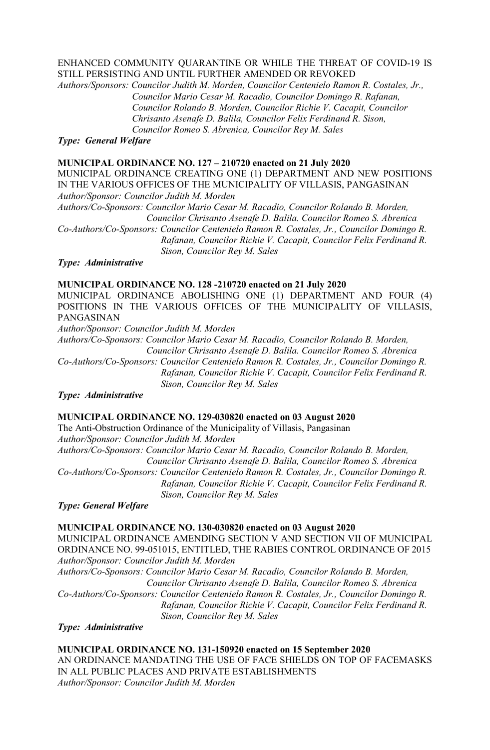# ENHANCED COMMUNITY QUARANTINE OR WHILE THE THREAT OF COVID-19 IS STILL PERSISTING AND UNTIL FURTHER AMENDED OR REVOKED

*Authors/Sponsors: Councilor Judith M. Morden, Councilor Centenielo Ramon R. Costales, Jr., Councilor Mario Cesar M. Racadio, Councilor Domingo R. Rafanan, Councilor Rolando B. Morden, Councilor Richie V. Cacapit, Councilor Chrisanto Asenafe D. Balila, Councilor Felix Ferdinand R. Sison, Councilor Romeo S. Abrenica, Councilor Rey M. Sales*

*Type: General Welfare*

## **MUNICIPAL ORDINANCE NO. 127 – 210720 enacted on 21 July 2020**

MUNICIPAL ORDINANCE CREATING ONE (1) DEPARTMENT AND NEW POSITIONS IN THE VARIOUS OFFICES OF THE MUNICIPALITY OF VILLASIS, PANGASINAN *Author/Sponsor: Councilor Judith M. Morden*

*Authors/Co-Sponsors: Councilor Mario Cesar M. Racadio, Councilor Rolando B. Morden, Councilor Chrisanto Asenafe D. Balila. Councilor Romeo S. Abrenica*

*Co-Authors/Co-Sponsors: Councilor Centenielo Ramon R. Costales, Jr., Councilor Domingo R. Rafanan, Councilor Richie V. Cacapit, Councilor Felix Ferdinand R. Sison, Councilor Rey M. Sales*

*Type: Administrative*

## **MUNICIPAL ORDINANCE NO. 128 -210720 enacted on 21 July 2020**

MUNICIPAL ORDINANCE ABOLISHING ONE (1) DEPARTMENT AND FOUR (4) POSITIONS IN THE VARIOUS OFFICES OF THE MUNICIPALITY OF VILLASIS, PANGASINAN

*Author/Sponsor: Councilor Judith M. Morden*

*Authors/Co-Sponsors: Councilor Mario Cesar M. Racadio, Councilor Rolando B. Morden, Councilor Chrisanto Asenafe D. Balila. Councilor Romeo S. Abrenica Co-Authors/Co-Sponsors: Councilor Centenielo Ramon R. Costales, Jr., Councilor Domingo R.* 

 *Rafanan, Councilor Richie V. Cacapit, Councilor Felix Ferdinand R. Sison, Councilor Rey M. Sales*

*Type: Administrative*

#### **MUNICIPAL ORDINANCE NO. 129-030820 enacted on 03 August 2020**

The Anti-Obstruction Ordinance of the Municipality of Villasis, Pangasinan *Author/Sponsor: Councilor Judith M. Morden Authors/Co-Sponsors: Councilor Mario Cesar M. Racadio, Councilor Rolando B. Morden, Councilor Chrisanto Asenafe D. Balila, Councilor Romeo S. Abrenica Co-Authors/Co-Sponsors: Councilor Centenielo Ramon R. Costales, Jr., Councilor Domingo R. Rafanan, Councilor Richie V. Cacapit, Councilor Felix Ferdinand R. Sison, Councilor Rey M. Sales*

*Type: General Welfare*

#### **MUNICIPAL ORDINANCE NO. 130-030820 enacted on 03 August 2020**

MUNICIPAL ORDINANCE AMENDING SECTION V AND SECTION VII OF MUNICIPAL ORDINANCE NO. 99-051015, ENTITLED, THE RABIES CONTROL ORDINANCE OF 2015 *Author/Sponsor: Councilor Judith M. Morden*

*Authors/Co-Sponsors: Councilor Mario Cesar M. Racadio, Councilor Rolando B. Morden, Councilor Chrisanto Asenafe D. Balila, Councilor Romeo S. Abrenica Co-Authors/Co-Sponsors: Councilor Centenielo Ramon R. Costales, Jr., Councilor Domingo R. Rafanan, Councilor Richie V. Cacapit, Councilor Felix Ferdinand R. Sison, Councilor Rey M. Sales*

*Type: Administrative*

**MUNICIPAL ORDINANCE NO. 131-150920 enacted on 15 September 2020** AN ORDINANCE MANDATING THE USE OF FACE SHIELDS ON TOP OF FACEMASKS IN ALL PUBLIC PLACES AND PRIVATE ESTABLISHMENTS *Author/Sponsor: Councilor Judith M. Morden*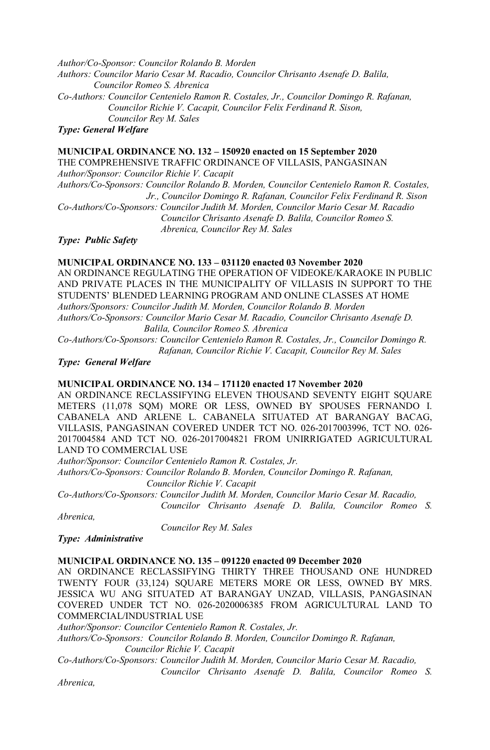*Author/Co-Sponsor: Councilor Rolando B. Morden* 

*Authors: Councilor Mario Cesar M. Racadio, Councilor Chrisanto Asenafe D. Balila, Councilor Romeo S. Abrenica*

*Co-Authors: Councilor Centenielo Ramon R. Costales, Jr., Councilor Domingo R. Rafanan, Councilor Richie V. Cacapit, Councilor Felix Ferdinand R. Sison, Councilor Rey M. Sales*

*Type: General Welfare*

# **MUNICIPAL ORDINANCE NO. 132 – 150920 enacted on 15 September 2020**

THE COMPREHENSIVE TRAFFIC ORDINANCE OF VILLASIS, PANGASINAN *Author/Sponsor: Councilor Richie V. Cacapit*

*Authors/Co-Sponsors: Councilor Rolando B. Morden, Councilor Centenielo Ramon R. Costales, Jr., Councilor Domingo R. Rafanan, Councilor Felix Ferdinand R. Sison*

*Co-Authors/Co-Sponsors: Councilor Judith M. Morden, Councilor Mario Cesar M. Racadio Councilor Chrisanto Asenafe D. Balila, Councilor Romeo S. Abrenica, Councilor Rey M. Sales*

*Type: Public Safety*

## **MUNICIPAL ORDINANCE NO. 133 – 031120 enacted 03 November 2020**

AN ORDINANCE REGULATING THE OPERATION OF VIDEOKE/KARAOKE IN PUBLIC AND PRIVATE PLACES IN THE MUNICIPALITY OF VILLASIS IN SUPPORT TO THE STUDENTS' BLENDED LEARNING PROGRAM AND ONLINE CLASSES AT HOME *Authors/Sponsors: Councilor Judith M. Morden, Councilor Rolando B. Morden Authors/Co-Sponsors: Councilor Mario Cesar M. Racadio, Councilor Chrisanto Asenafe D. Balila, Councilor Romeo S. Abrenica*

*Co-Authors/Co-Sponsors: Councilor Centenielo Ramon R. Costales, Jr., Councilor Domingo R. Rafanan, Councilor Richie V. Cacapit, Councilor Rey M. Sales*

*Type: General Welfare*

## **MUNICIPAL ORDINANCE NO. 134 – 171120 enacted 17 November 2020**

AN ORDINANCE RECLASSIFYING ELEVEN THOUSAND SEVENTY EIGHT SOUARE METERS (11,078 SQM) MORE OR LESS, OWNED BY SPOUSES FERNANDO I. CABANELA AND ARLENE L. CABANELA SITUATED AT BARANGAY BACAG, VILLASIS, PANGASINAN COVERED UNDER TCT NO. 026-2017003996, TCT NO. 026- 2017004584 AND TCT NO. 026-2017004821 FROM UNIRRIGATED AGRICULTURAL LAND TO COMMERCIAL USE

*Author/Sponsor: Councilor Centenielo Ramon R. Costales, Jr.*

*Authors/Co-Sponsors: Councilor Rolando B. Morden, Councilor Domingo R. Rafanan, Councilor Richie V. Cacapit*

*Co-Authors/Co-Sponsors: Councilor Judith M. Morden, Councilor Mario Cesar M. Racadio, Councilor Chrisanto Asenafe D. Balila, Councilor Romeo S.* 

*Abrenica,*

 *Councilor Rey M. Sales*

*Type: Administrative*

## **MUNICIPAL ORDINANCE NO. 135 – 091220 enacted 09 December 2020**

AN ORDINANCE RECLASSIFYING THIRTY THREE THOUSAND ONE HUNDRED TWENTY FOUR (33,124) SQUARE METERS MORE OR LESS, OWNED BY MRS. JESSICA WU ANG SITUATED AT BARANGAY UNZAD, VILLASIS, PANGASINAN COVERED UNDER TCT NO. 026-2020006385 FROM AGRICULTURAL LAND TO COMMERCIAL/INDUSTRIAL USE

*Author/Sponsor: Councilor Centenielo Ramon R. Costales, Jr.*

*Authors/Co-Sponsors: Councilor Rolando B. Morden, Councilor Domingo R. Rafanan, Councilor Richie V. Cacapit*

*Co-Authors/Co-Sponsors: Councilor Judith M. Morden, Councilor Mario Cesar M. Racadio,* 

 *Councilor Chrisanto Asenafe D. Balila, Councilor Romeo S.* 

*Abrenica,*